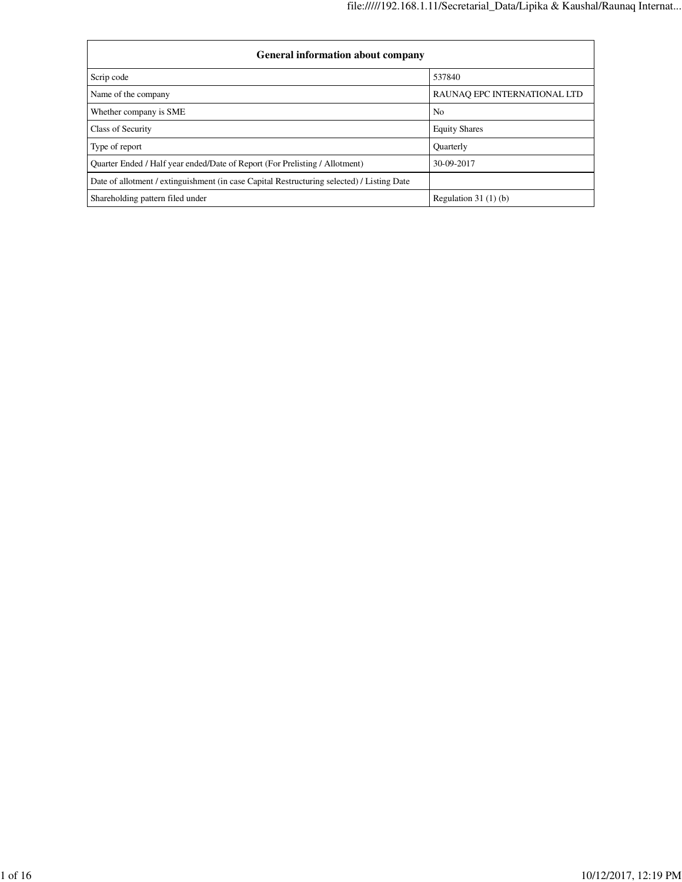| <b>General information about company</b>                                                   |                              |  |  |  |  |  |  |
|--------------------------------------------------------------------------------------------|------------------------------|--|--|--|--|--|--|
| Scrip code                                                                                 | 537840                       |  |  |  |  |  |  |
| Name of the company                                                                        | RAUNAO EPC INTERNATIONAL LTD |  |  |  |  |  |  |
| Whether company is SME                                                                     | No                           |  |  |  |  |  |  |
| Class of Security                                                                          | <b>Equity Shares</b>         |  |  |  |  |  |  |
| Type of report                                                                             | Quarterly                    |  |  |  |  |  |  |
| Ouarter Ended / Half year ended/Date of Report (For Prelisting / Allotment)                | 30-09-2017                   |  |  |  |  |  |  |
| Date of allotment / extinguishment (in case Capital Restructuring selected) / Listing Date |                              |  |  |  |  |  |  |
| Shareholding pattern filed under                                                           | Regulation $31(1)(b)$        |  |  |  |  |  |  |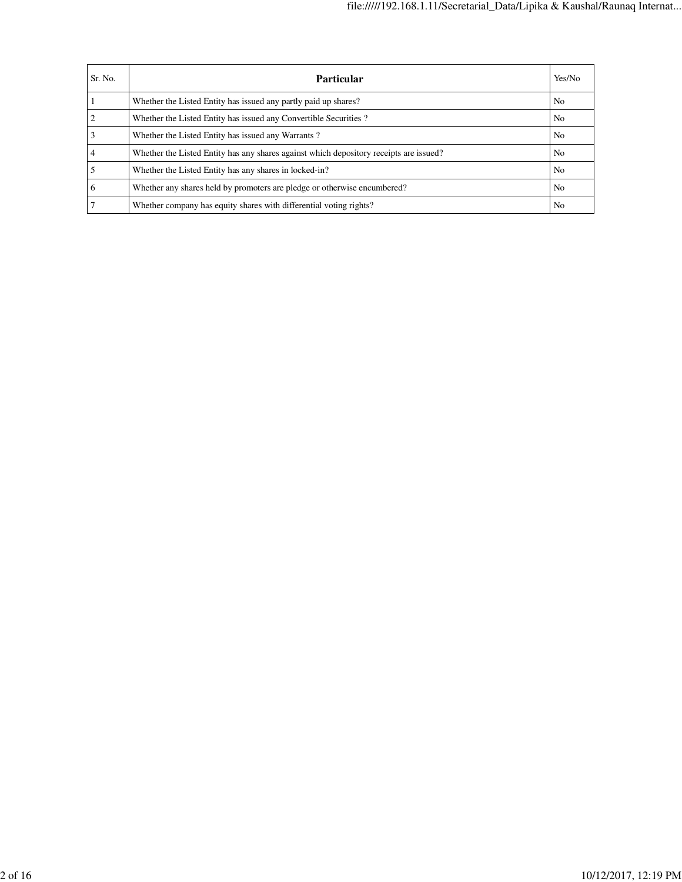| Sr. No. | Particular                                                                             | Yes/No         |
|---------|----------------------------------------------------------------------------------------|----------------|
|         | Whether the Listed Entity has issued any partly paid up shares?                        | N <sub>0</sub> |
|         | Whether the Listed Entity has issued any Convertible Securities?                       | N <sub>0</sub> |
|         | Whether the Listed Entity has issued any Warrants?                                     | No             |
|         | Whether the Listed Entity has any shares against which depository receipts are issued? | N <sub>0</sub> |
|         | Whether the Listed Entity has any shares in locked-in?                                 | No             |
| 6       | Whether any shares held by promoters are pledge or otherwise encumbered?               | N <sub>0</sub> |
|         | Whether company has equity shares with differential voting rights?                     | No             |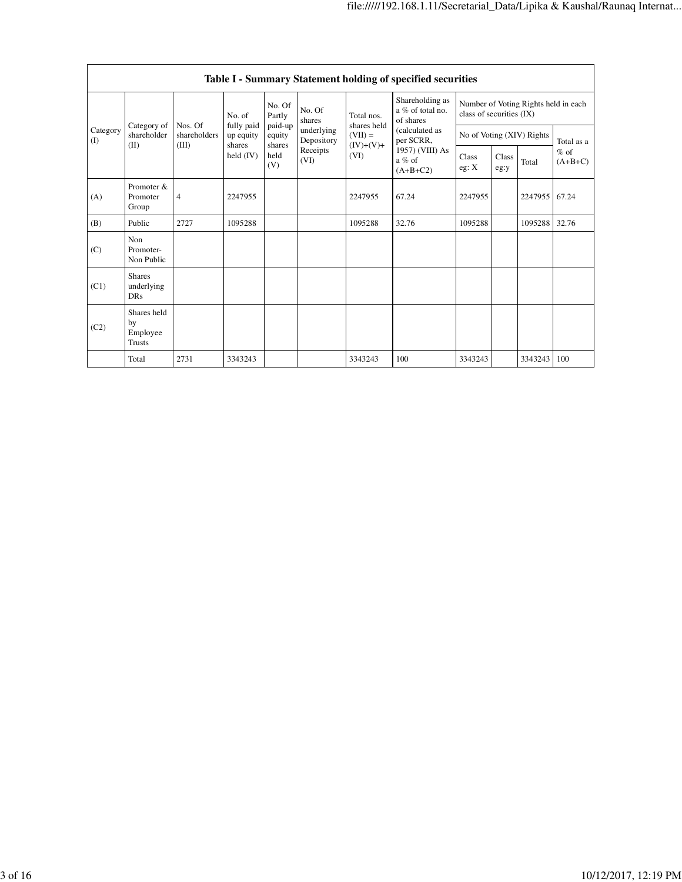|                   | Table I - Summary Statement holding of specified securities |                         |                     |                             |                          |                                  |                                                                          |                                                                  |               |                           |                     |  |  |
|-------------------|-------------------------------------------------------------|-------------------------|---------------------|-----------------------------|--------------------------|----------------------------------|--------------------------------------------------------------------------|------------------------------------------------------------------|---------------|---------------------------|---------------------|--|--|
|                   |                                                             | No. of                  | fully paid          | No. Of<br>Partly            | No. Of<br>shares         | Total nos.<br>shares held        | Shareholding as<br>a % of total no.<br>of shares                         | Number of Voting Rights held in each<br>class of securities (IX) |               |                           |                     |  |  |
| Category<br>$($ I | Category of<br>shareholder                                  | Nos. Of<br>shareholders | up equity<br>shares | paid-up<br>equity<br>shares | underlying<br>Depository | $(VII) =$<br>$(IV)+(V)+$<br>(VI) | (calculated as<br>per SCRR,<br>1957) (VIII) As<br>$a\%$ of<br>$(A+B+C2)$ |                                                                  |               | No of Voting (XIV) Rights | Total as a          |  |  |
|                   | (II)<br>(III)                                               |                         | held $(IV)$         | held<br>(V)                 | Receipts<br>(VI)         |                                  |                                                                          | Class<br>eg: X                                                   | Class<br>eg:y | Total                     | $%$ of<br>$(A+B+C)$ |  |  |
| (A)               | Promoter &<br>Promoter<br>Group                             | $\overline{4}$          | 2247955             |                             |                          | 2247955                          | 67.24                                                                    | 2247955                                                          |               | 2247955 67.24             |                     |  |  |
| (B)               | Public                                                      | 2727                    | 1095288             |                             |                          | 1095288                          | 32.76                                                                    | 1095288                                                          |               | 1095288                   | 32.76               |  |  |
| (C)               | Non<br>Promoter-<br>Non Public                              |                         |                     |                             |                          |                                  |                                                                          |                                                                  |               |                           |                     |  |  |
| (C1)              | <b>Shares</b><br>underlying<br><b>DRs</b>                   |                         |                     |                             |                          |                                  |                                                                          |                                                                  |               |                           |                     |  |  |
| (C2)              | Shares held<br>by<br>Employee<br><b>Trusts</b>              |                         |                     |                             |                          |                                  |                                                                          |                                                                  |               |                           |                     |  |  |
|                   | Total                                                       | 2731                    | 3343243             |                             |                          | 3343243                          | 100                                                                      | 3343243                                                          |               | 3343243                   | 100                 |  |  |

٦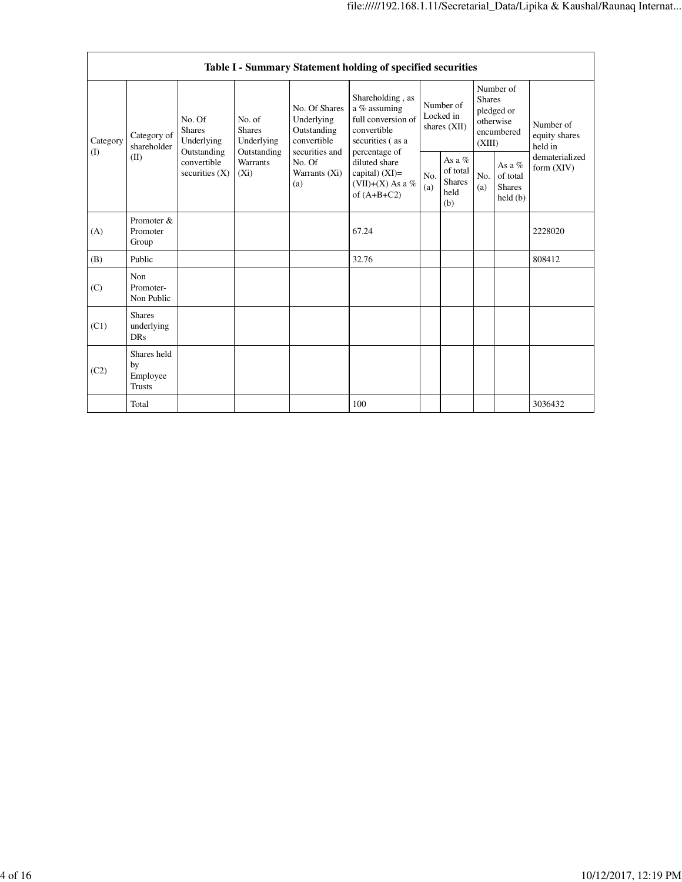|                 | Table I - Summary Statement holding of specified securities |                                                                                                                               |                           |                                                                             |                                                                                                                                                                                       |                                        |                                                    |                                                                               |                                                |                                       |  |
|-----------------|-------------------------------------------------------------|-------------------------------------------------------------------------------------------------------------------------------|---------------------------|-----------------------------------------------------------------------------|---------------------------------------------------------------------------------------------------------------------------------------------------------------------------------------|----------------------------------------|----------------------------------------------------|-------------------------------------------------------------------------------|------------------------------------------------|---------------------------------------|--|
| Category<br>(1) | Category of<br>shareholder<br>(II)                          | No. Of<br>No. of<br><b>Shares</b><br><b>Shares</b><br>Underlying<br>Outstanding<br>convertible<br>securities $(X)$<br>$(X_i)$ | Underlying<br>Outstanding | No. Of Shares<br>Underlying<br>Outstanding<br>convertible<br>securities and | Shareholding, as<br>a % assuming<br>full conversion of<br>convertible<br>securities (as a<br>percentage of<br>diluted share<br>capital) $(XI)$ =<br>(VII)+(X) As a %<br>of $(A+B+C2)$ | Number of<br>Locked in<br>shares (XII) |                                                    | Number of<br><b>Shares</b><br>pledged or<br>otherwise<br>encumbered<br>(XIII) |                                                | Number of<br>equity shares<br>held in |  |
|                 |                                                             |                                                                                                                               | <b>Warrants</b>           | No. Of<br>Warrants (Xi)<br>(a)                                              |                                                                                                                                                                                       | No.<br>(a)                             | As a %<br>of total<br><b>Shares</b><br>held<br>(b) | No.<br>(a)                                                                    | As a %<br>of total<br><b>Shares</b><br>held(b) | dematerialized<br>form $(XIV)$        |  |
| (A)             | Promoter &<br>Promoter<br>Group                             |                                                                                                                               |                           |                                                                             | 67.24                                                                                                                                                                                 |                                        |                                                    |                                                                               |                                                | 2228020                               |  |
| (B)             | Public                                                      |                                                                                                                               |                           |                                                                             | 32.76                                                                                                                                                                                 |                                        |                                                    |                                                                               |                                                | 808412                                |  |
| (C)             | Non<br>Promoter-<br>Non Public                              |                                                                                                                               |                           |                                                                             |                                                                                                                                                                                       |                                        |                                                    |                                                                               |                                                |                                       |  |
| (C1)            | <b>Shares</b><br>underlying<br><b>DRs</b>                   |                                                                                                                               |                           |                                                                             |                                                                                                                                                                                       |                                        |                                                    |                                                                               |                                                |                                       |  |
| (C2)            | Shares held<br>by<br>Employee<br><b>Trusts</b>              |                                                                                                                               |                           |                                                                             |                                                                                                                                                                                       |                                        |                                                    |                                                                               |                                                |                                       |  |
|                 | Total                                                       |                                                                                                                               |                           |                                                                             | 100                                                                                                                                                                                   |                                        |                                                    |                                                                               |                                                | 3036432                               |  |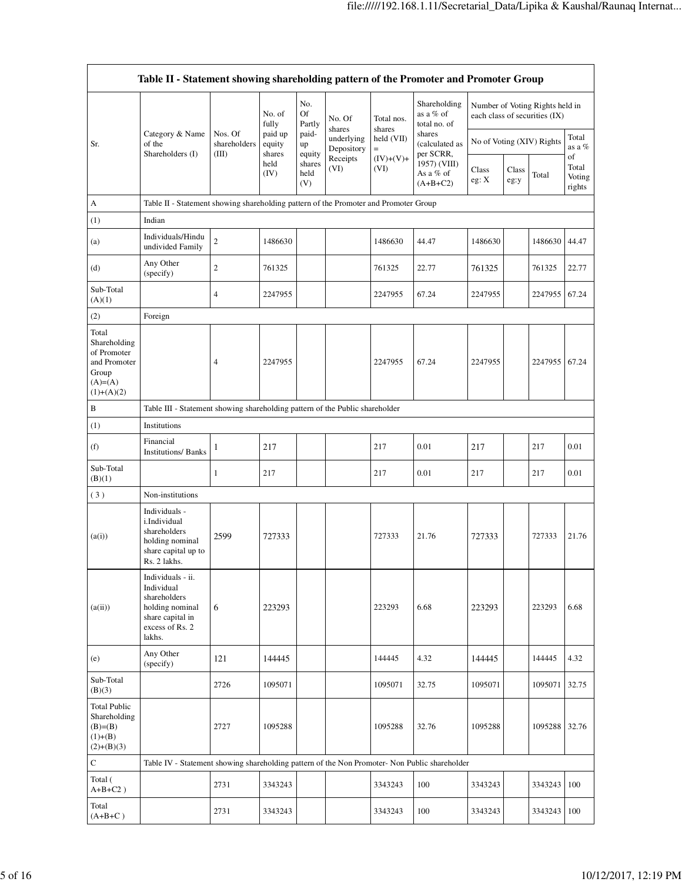|                                                                                           | Table II - Statement showing shareholding pattern of the Promoter and Promoter Group                                |                                  |                             |                       |                                    |                             |                                                                                  |                           |               |                                                                  |                                 |
|-------------------------------------------------------------------------------------------|---------------------------------------------------------------------------------------------------------------------|----------------------------------|-----------------------------|-----------------------|------------------------------------|-----------------------------|----------------------------------------------------------------------------------|---------------------------|---------------|------------------------------------------------------------------|---------------------------------|
|                                                                                           |                                                                                                                     |                                  | No. of<br>fully             | No.<br>Of<br>Partly   | No. Of                             | Total nos.                  | Shareholding<br>as a % of<br>total no. of                                        |                           |               | Number of Voting Rights held in<br>each class of securities (IX) |                                 |
| Sr.                                                                                       | Category & Name<br>of the<br>Shareholders (I)                                                                       | Nos. Of<br>shareholders<br>(III) | paid up<br>equity<br>shares | paid-<br>up<br>equity | shares<br>underlying<br>Depository | shares<br>held (VII)<br>$=$ | shares<br>(calculated as<br>per SCRR,<br>1957) (VIII)<br>As a % of<br>$(A+B+C2)$ | No of Voting (XIV) Rights |               |                                                                  | Total<br>as a %                 |
|                                                                                           |                                                                                                                     |                                  | held<br>(IV)                | shares<br>held<br>(V) | Receipts<br>(VI)                   | $(IV)+(V)+$<br>(VI)         |                                                                                  | Class<br>eg: X            | Class<br>eg:y | Total                                                            | of<br>Total<br>Voting<br>rights |
| $\boldsymbol{\mathsf{A}}$                                                                 | Table II - Statement showing shareholding pattern of the Promoter and Promoter Group                                |                                  |                             |                       |                                    |                             |                                                                                  |                           |               |                                                                  |                                 |
| (1)                                                                                       | Indian                                                                                                              |                                  |                             |                       |                                    |                             |                                                                                  |                           |               |                                                                  |                                 |
| (a)                                                                                       | Individuals/Hindu<br>undivided Family                                                                               | $\sqrt{2}$                       | 1486630                     |                       |                                    | 1486630                     | 44.47                                                                            | 1486630                   |               | 1486630                                                          | 44.47                           |
| (d)                                                                                       | Any Other<br>(specify)                                                                                              | $\boldsymbol{2}$                 | 761325                      |                       |                                    | 761325                      | 22.77                                                                            | 761325                    |               | 761325                                                           | 22.77                           |
| Sub-Total<br>(A)(1)                                                                       |                                                                                                                     | 4                                | 2247955                     |                       |                                    | 2247955                     | 67.24                                                                            | 2247955                   |               | 2247955 67.24                                                    |                                 |
| (2)                                                                                       | Foreign                                                                                                             |                                  |                             |                       |                                    |                             |                                                                                  |                           |               |                                                                  |                                 |
| Total<br>Shareholding<br>of Promoter<br>and Promoter<br>Group<br>$(A)=A)$<br>$(1)+(A)(2)$ |                                                                                                                     | 4                                | 2247955                     |                       |                                    | 2247955                     | 67.24                                                                            | 2247955                   |               | 2247955                                                          | 67.24                           |
| B                                                                                         | Table III - Statement showing shareholding pattern of the Public shareholder                                        |                                  |                             |                       |                                    |                             |                                                                                  |                           |               |                                                                  |                                 |
| (1)                                                                                       | Institutions                                                                                                        |                                  |                             |                       |                                    |                             |                                                                                  |                           |               |                                                                  |                                 |
| (f)                                                                                       | Financial<br><b>Institutions/Banks</b>                                                                              | 1                                | 217                         |                       |                                    | 217                         | 0.01                                                                             | 217                       |               | 217                                                              | 0.01                            |
| Sub-Total<br>(B)(1)                                                                       |                                                                                                                     | 1                                | 217                         |                       |                                    | 217                         | 0.01                                                                             | 217                       |               | 217                                                              | 0.01                            |
| (3)                                                                                       | Non-institutions                                                                                                    |                                  |                             |                       |                                    |                             |                                                                                  |                           |               |                                                                  |                                 |
| (a(i))                                                                                    | Individuals -<br>i.Individual<br>shareholders<br>holding nominal<br>share capital up to<br>Rs. 2 lakhs.             | 2599                             | 727333                      |                       |                                    | 727333                      | 21.76                                                                            | 727333                    |               | 727333                                                           | 21.76                           |
| (a(ii))                                                                                   | Individuals - ii.<br>Individual<br>shareholders<br>holding nominal<br>share capital in<br>excess of Rs. 2<br>lakhs. | 6                                | 223293                      |                       |                                    | 223293                      | 6.68                                                                             | 223293                    |               | 223293                                                           | 6.68                            |
| (e)                                                                                       | Any Other<br>(specify)                                                                                              | 121                              | 144445                      |                       |                                    | 144445                      | 4.32                                                                             | 144445                    |               | 144445                                                           | 4.32                            |
| Sub-Total<br>(B)(3)                                                                       |                                                                                                                     | 2726                             | 1095071                     |                       |                                    | 1095071                     | 32.75                                                                            | 1095071                   |               | 1095071                                                          | 32.75                           |
| <b>Total Public</b><br>Shareholding<br>$(B)=B)$<br>$(1)+(B)$<br>$(2)+(B)(3)$              |                                                                                                                     | 2727                             | 1095288                     |                       |                                    | 1095288                     | 32.76                                                                            | 1095288                   |               | 1095288 32.76                                                    |                                 |
| $\mathbf C$                                                                               | Table IV - Statement showing shareholding pattern of the Non Promoter- Non Public shareholder                       |                                  |                             |                       |                                    |                             |                                                                                  |                           |               |                                                                  |                                 |
| Total (<br>$A+B+C2$ )                                                                     |                                                                                                                     | 2731                             | 3343243                     |                       |                                    | 3343243                     | 100                                                                              | 3343243                   |               | 3343243                                                          | 100                             |
| Total<br>$(A+B+C)$                                                                        |                                                                                                                     | 2731                             | 3343243                     |                       |                                    | 3343243                     | 100                                                                              | 3343243                   |               | 3343243                                                          | 100                             |

ä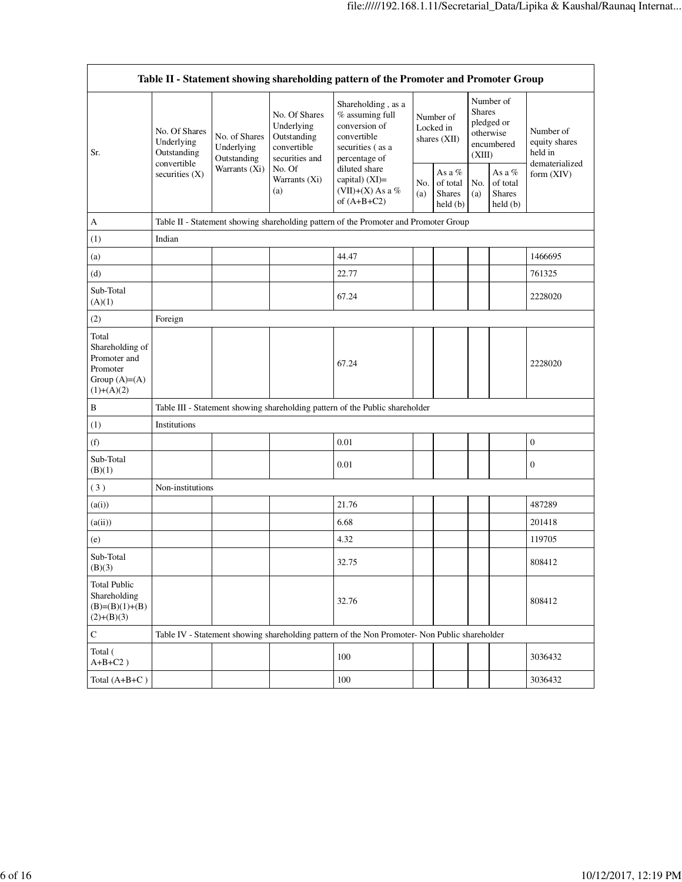| Table II - Statement showing shareholding pattern of the Promoter and Promoter Group     |                                            |                                                                                      |                                                                             |                                                                                                                                                                                        |                                        |                                                 |                                                                               |                                                   |                                       |  |  |  |
|------------------------------------------------------------------------------------------|--------------------------------------------|--------------------------------------------------------------------------------------|-----------------------------------------------------------------------------|----------------------------------------------------------------------------------------------------------------------------------------------------------------------------------------|----------------------------------------|-------------------------------------------------|-------------------------------------------------------------------------------|---------------------------------------------------|---------------------------------------|--|--|--|
| Sr.                                                                                      | No. Of Shares<br>Underlying<br>Outstanding | No. of Shares<br>Underlying<br>Outstanding<br>Warrants (Xi)                          | No. Of Shares<br>Underlying<br>Outstanding<br>convertible<br>securities and | Shareholding, as a<br>$%$ assuming full<br>conversion of<br>convertible<br>securities (as a<br>percentage of<br>diluted share<br>capital) $(XI)=$<br>(VII)+(X) As a %<br>of $(A+B+C2)$ | Number of<br>Locked in<br>shares (XII) |                                                 | Number of<br><b>Shares</b><br>pledged or<br>otherwise<br>encumbered<br>(XIII) |                                                   | Number of<br>equity shares<br>held in |  |  |  |
|                                                                                          | convertible<br>securities (X)              |                                                                                      | No. Of<br>Warrants (Xi)<br>(a)                                              |                                                                                                                                                                                        | No.<br>(a)                             | As a %<br>of total<br><b>Shares</b><br>held (b) | No.<br>(a)                                                                    | As a $\%$<br>of total<br><b>Shares</b><br>held(b) | dematerialized<br>form (XIV)          |  |  |  |
| A                                                                                        |                                            | Table II - Statement showing shareholding pattern of the Promoter and Promoter Group |                                                                             |                                                                                                                                                                                        |                                        |                                                 |                                                                               |                                                   |                                       |  |  |  |
| (1)                                                                                      | Indian                                     |                                                                                      |                                                                             |                                                                                                                                                                                        |                                        |                                                 |                                                                               |                                                   |                                       |  |  |  |
| (a)                                                                                      |                                            |                                                                                      |                                                                             | 44.47                                                                                                                                                                                  |                                        |                                                 |                                                                               |                                                   | 1466695                               |  |  |  |
| (d)                                                                                      |                                            |                                                                                      |                                                                             | 22.77                                                                                                                                                                                  |                                        |                                                 |                                                                               |                                                   | 761325                                |  |  |  |
| Sub-Total<br>(A)(1)                                                                      |                                            |                                                                                      |                                                                             | 67.24                                                                                                                                                                                  |                                        |                                                 |                                                                               |                                                   | 2228020                               |  |  |  |
| (2)                                                                                      | Foreign                                    |                                                                                      |                                                                             |                                                                                                                                                                                        |                                        |                                                 |                                                                               |                                                   |                                       |  |  |  |
| Total<br>Shareholding of<br>Promoter and<br>Promoter<br>Group $(A)= (A)$<br>$(1)+(A)(2)$ |                                            |                                                                                      |                                                                             | 67.24                                                                                                                                                                                  |                                        |                                                 |                                                                               |                                                   | 2228020                               |  |  |  |
| $\, {\bf B}$                                                                             |                                            |                                                                                      |                                                                             | Table III - Statement showing shareholding pattern of the Public shareholder                                                                                                           |                                        |                                                 |                                                                               |                                                   |                                       |  |  |  |
| (1)                                                                                      | Institutions                               |                                                                                      |                                                                             |                                                                                                                                                                                        |                                        |                                                 |                                                                               |                                                   |                                       |  |  |  |
| (f)                                                                                      |                                            |                                                                                      |                                                                             | 0.01                                                                                                                                                                                   |                                        |                                                 |                                                                               |                                                   | $\boldsymbol{0}$                      |  |  |  |
| Sub-Total<br>(B)(1)                                                                      |                                            |                                                                                      |                                                                             | 0.01                                                                                                                                                                                   |                                        |                                                 |                                                                               |                                                   | $\boldsymbol{0}$                      |  |  |  |
| (3)                                                                                      | Non-institutions                           |                                                                                      |                                                                             |                                                                                                                                                                                        |                                        |                                                 |                                                                               |                                                   |                                       |  |  |  |
| (a(i))                                                                                   |                                            |                                                                                      |                                                                             | 21.76                                                                                                                                                                                  |                                        |                                                 |                                                                               |                                                   | 487289                                |  |  |  |
| (a(ii))                                                                                  |                                            |                                                                                      |                                                                             | 6.68                                                                                                                                                                                   |                                        |                                                 |                                                                               |                                                   | 201418                                |  |  |  |
| (e)                                                                                      |                                            |                                                                                      |                                                                             | 4.32                                                                                                                                                                                   |                                        |                                                 |                                                                               |                                                   | 119705                                |  |  |  |
| Sub-Total<br>(B)(3)                                                                      |                                            |                                                                                      |                                                                             | 32.75                                                                                                                                                                                  |                                        |                                                 |                                                                               |                                                   | 808412                                |  |  |  |
| <b>Total Public</b><br>Shareholding<br>$(B)=(B)(1)+(B)$<br>$(2)+(B)(3)$                  |                                            |                                                                                      |                                                                             | 32.76                                                                                                                                                                                  |                                        |                                                 |                                                                               |                                                   | 808412                                |  |  |  |
| ${\bf C}$                                                                                |                                            |                                                                                      |                                                                             | Table IV - Statement showing shareholding pattern of the Non Promoter- Non Public shareholder                                                                                          |                                        |                                                 |                                                                               |                                                   |                                       |  |  |  |
| Total (<br>$A+B+C2$ )                                                                    |                                            |                                                                                      |                                                                             | 100                                                                                                                                                                                    |                                        |                                                 |                                                                               |                                                   | 3036432                               |  |  |  |
| Total $(A+B+C)$                                                                          |                                            |                                                                                      |                                                                             | 100                                                                                                                                                                                    |                                        |                                                 |                                                                               |                                                   | 3036432                               |  |  |  |

٦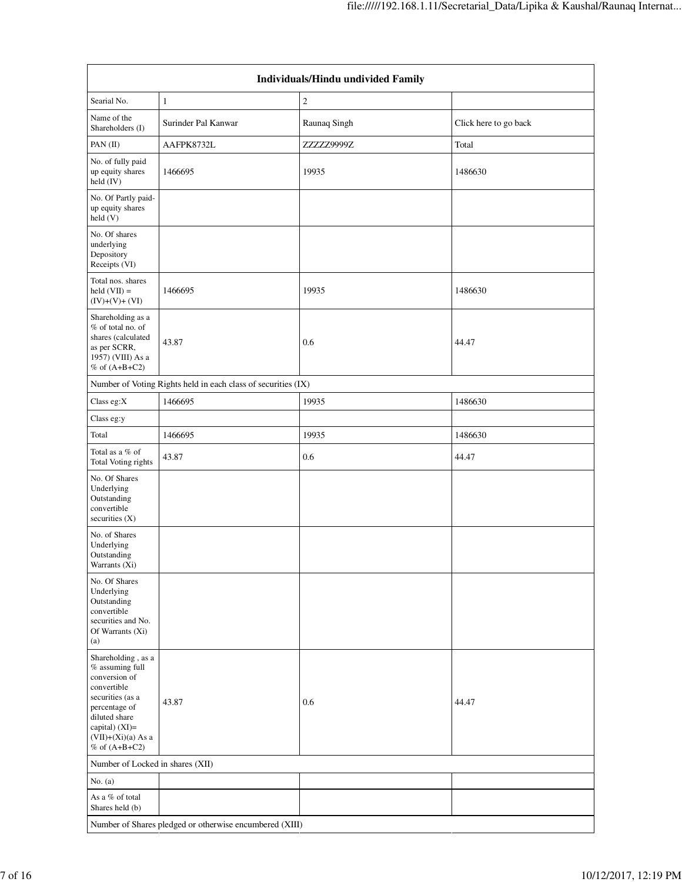| Individuals/Hindu undivided Family                                                                                                                                                         |                                                               |              |                       |  |  |  |  |  |
|--------------------------------------------------------------------------------------------------------------------------------------------------------------------------------------------|---------------------------------------------------------------|--------------|-----------------------|--|--|--|--|--|
| Searial No.                                                                                                                                                                                | $\mathbf{1}$                                                  | $\sqrt{2}$   |                       |  |  |  |  |  |
| Name of the<br>Shareholders (I)                                                                                                                                                            | Surinder Pal Kanwar                                           | Raunaq Singh | Click here to go back |  |  |  |  |  |
| PAN(II)                                                                                                                                                                                    | AAFPK8732L                                                    | ZZZZZ9999Z   | Total                 |  |  |  |  |  |
| No. of fully paid<br>up equity shares<br>held (IV)                                                                                                                                         | 1466695                                                       | 19935        | 1486630               |  |  |  |  |  |
| No. Of Partly paid-<br>up equity shares<br>$\text{held}(V)$                                                                                                                                |                                                               |              |                       |  |  |  |  |  |
| No. Of shares<br>underlying<br>Depository<br>Receipts (VI)                                                                                                                                 |                                                               |              |                       |  |  |  |  |  |
| Total nos. shares<br>$held (VII) =$<br>$(IV)+(V)+(VI)$                                                                                                                                     | 1466695                                                       | 19935        | 1486630               |  |  |  |  |  |
| Shareholding as a<br>% of total no. of<br>shares (calculated<br>as per SCRR,<br>1957) (VIII) As a<br>$%$ of $(A+B+C2)$                                                                     | 43.87                                                         | 0.6          | 44.47                 |  |  |  |  |  |
|                                                                                                                                                                                            | Number of Voting Rights held in each class of securities (IX) |              |                       |  |  |  |  |  |
| Class eg:X                                                                                                                                                                                 | 1466695                                                       | 19935        | 1486630               |  |  |  |  |  |
| Class eg:y                                                                                                                                                                                 |                                                               |              |                       |  |  |  |  |  |
| Total                                                                                                                                                                                      | 1466695                                                       | 19935        | 1486630               |  |  |  |  |  |
| Total as a $\%$ of<br>Total Voting rights                                                                                                                                                  | 43.87                                                         | 0.6          | 44.47                 |  |  |  |  |  |
| No. Of Shares<br>Underlying<br>Outstanding<br>convertible<br>securities $(X)$                                                                                                              |                                                               |              |                       |  |  |  |  |  |
| No. of Shares<br>Underlying<br>Outstanding<br>Warrants (Xi)                                                                                                                                |                                                               |              |                       |  |  |  |  |  |
| No. Of Shares<br>Underlying<br>Outstanding<br>convertible<br>securities and No.<br>Of Warrants (Xi)<br>(a)                                                                                 |                                                               |              |                       |  |  |  |  |  |
| Shareholding, as a<br>% assuming full<br>conversion of<br>convertible<br>securities (as a<br>percentage of<br>diluted share<br>capital) (XI)=<br>$(VII)+(Xi)(a)$ As a<br>$%$ of $(A+B+C2)$ | 43.87                                                         | 0.6          | 44.47                 |  |  |  |  |  |
| Number of Locked in shares (XII)                                                                                                                                                           |                                                               |              |                       |  |  |  |  |  |
| No. $(a)$                                                                                                                                                                                  |                                                               |              |                       |  |  |  |  |  |
| As a % of total<br>Shares held (b)                                                                                                                                                         |                                                               |              |                       |  |  |  |  |  |
| Number of Shares pledged or otherwise encumbered (XIII)                                                                                                                                    |                                                               |              |                       |  |  |  |  |  |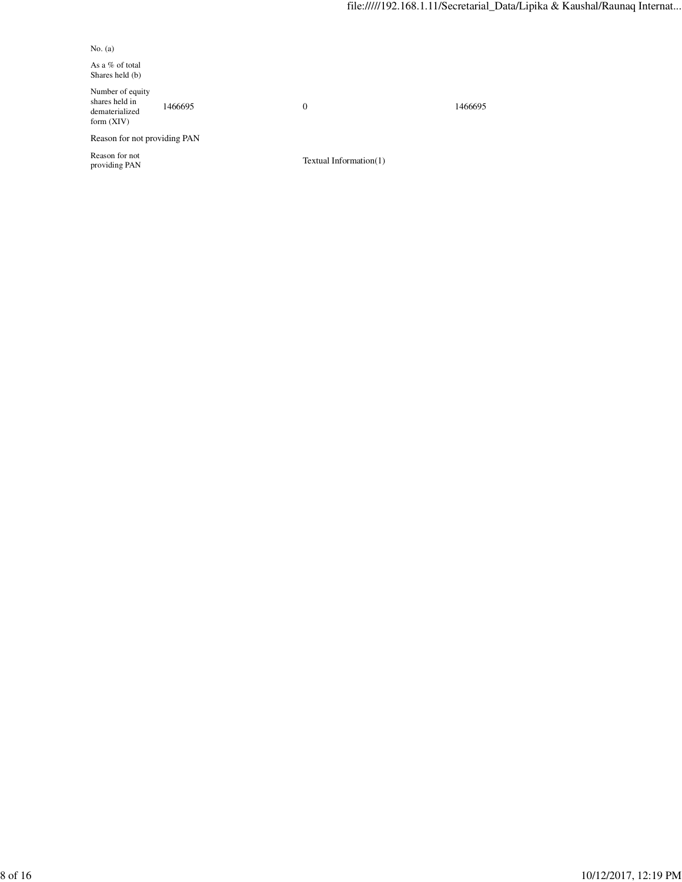No. (a)

As a % of total Shares held (b)

Number of equity shares held in dematerialized form (XIV)

1466695 0 1466695

Reason for not providing PAN

Reason for not

 $Textual Information(1)$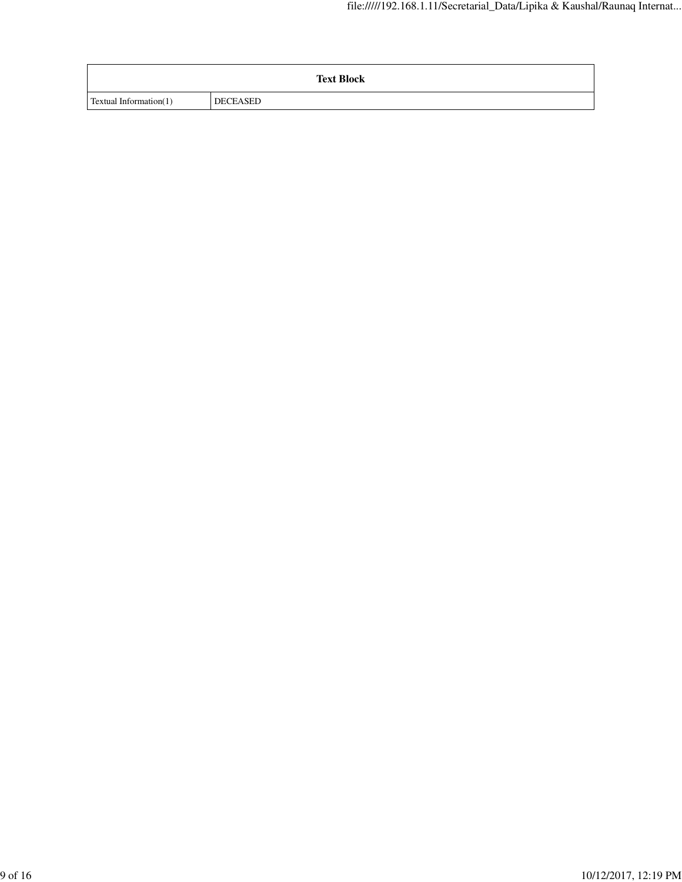|                        | <b>Text Block</b> |
|------------------------|-------------------|
| Textual Information(1) | DECEASED          |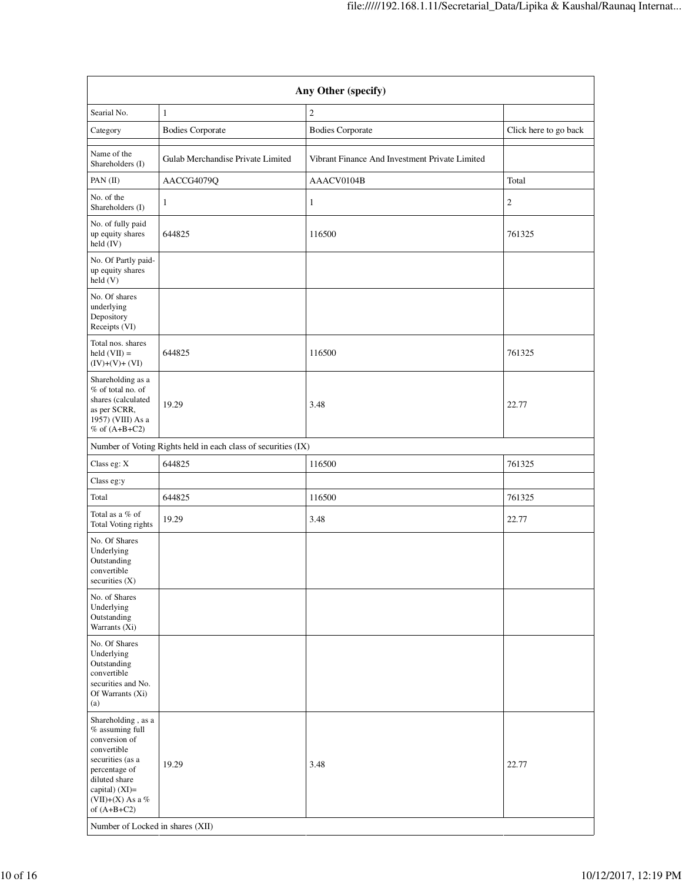| Any Other (specify)                                                                                                                                                                                                      |                                                               |                                                |                       |  |  |  |  |  |
|--------------------------------------------------------------------------------------------------------------------------------------------------------------------------------------------------------------------------|---------------------------------------------------------------|------------------------------------------------|-----------------------|--|--|--|--|--|
| Searial No.                                                                                                                                                                                                              | $\mathbf{1}$                                                  | $\mathfrak{2}$                                 |                       |  |  |  |  |  |
| Category                                                                                                                                                                                                                 | <b>Bodies Corporate</b>                                       | <b>Bodies Corporate</b>                        | Click here to go back |  |  |  |  |  |
| Name of the<br>Shareholders (I)                                                                                                                                                                                          | Gulab Merchandise Private Limited                             | Vibrant Finance And Investment Private Limited |                       |  |  |  |  |  |
| PAN (II)                                                                                                                                                                                                                 | AACCG4079Q                                                    | AAACV0104B                                     | Total                 |  |  |  |  |  |
| No. of the<br>Shareholders (I)                                                                                                                                                                                           | $\mathbf{1}$                                                  | 1                                              | 2                     |  |  |  |  |  |
| No. of fully paid<br>up equity shares<br>held (IV)                                                                                                                                                                       | 644825                                                        | 116500                                         | 761325                |  |  |  |  |  |
| No. Of Partly paid-<br>up equity shares<br>held(V)                                                                                                                                                                       |                                                               |                                                |                       |  |  |  |  |  |
| No. Of shares<br>underlying<br>Depository<br>Receipts (VI)                                                                                                                                                               |                                                               |                                                |                       |  |  |  |  |  |
| Total nos. shares<br>held $(VII) =$<br>$(IV)+(V)+(VI)$                                                                                                                                                                   | 644825                                                        | 116500                                         | 761325                |  |  |  |  |  |
| Shareholding as a<br>% of total no. of<br>shares (calculated<br>as per SCRR,<br>1957) (VIII) As a<br>$%$ of $(A+B+C2)$                                                                                                   | 19.29                                                         | 3.48                                           | 22.77                 |  |  |  |  |  |
|                                                                                                                                                                                                                          | Number of Voting Rights held in each class of securities (IX) |                                                |                       |  |  |  |  |  |
| Class eg: X                                                                                                                                                                                                              | 644825                                                        | 116500                                         | 761325                |  |  |  |  |  |
| Class eg:y                                                                                                                                                                                                               |                                                               |                                                |                       |  |  |  |  |  |
| Total                                                                                                                                                                                                                    | 644825                                                        | 116500                                         | 761325                |  |  |  |  |  |
| Total as a % of<br>Total Voting rights                                                                                                                                                                                   | 19.29                                                         | 3.48                                           | 22.77                 |  |  |  |  |  |
| No. Of Shares<br>Underlying<br>Outstanding<br>convertible<br>securities (X)                                                                                                                                              |                                                               |                                                |                       |  |  |  |  |  |
| No. of Shares<br>Underlying<br>Outstanding<br>Warrants (Xi)                                                                                                                                                              |                                                               |                                                |                       |  |  |  |  |  |
| No. Of Shares<br>Underlying<br>Outstanding<br>convertible<br>securities and No.<br>Of Warrants (Xi)<br>(a)                                                                                                               |                                                               |                                                |                       |  |  |  |  |  |
| Shareholding, as a<br>$%$ assuming full<br>conversion of<br>convertible<br>securities (as a<br>percentage of<br>diluted share<br>capital) (XI)=<br>(VII)+(X) As a %<br>of $(A+B+C2)$<br>Number of Locked in shares (XII) | 19.29                                                         | 3.48                                           | 22.77                 |  |  |  |  |  |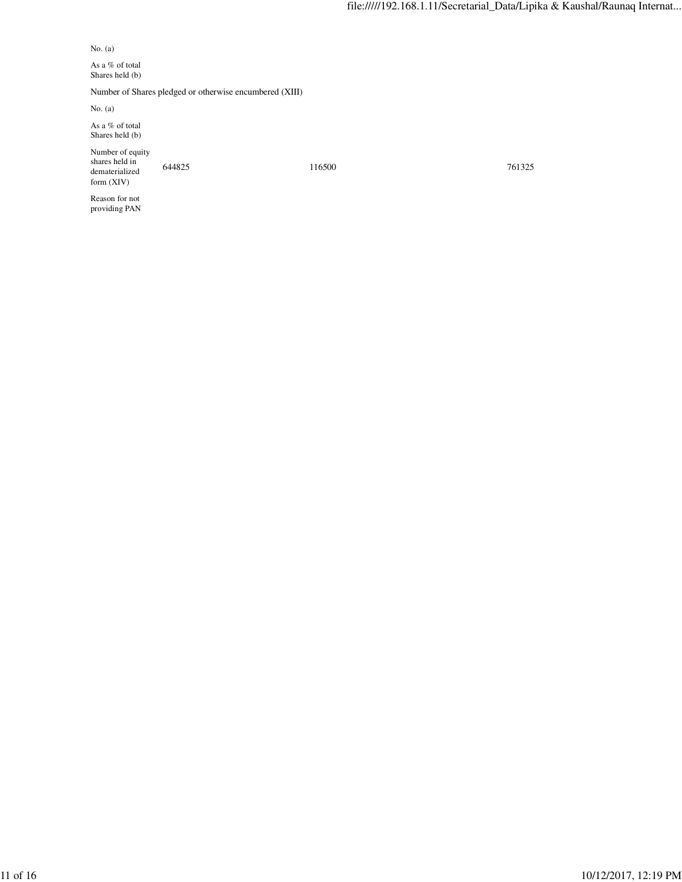No. (a)

As a  $\%$  of total Shares held (b)

Number of Shares pledged or otherwise encumbered (XIII)

No. (a)

As a % of total Shares held (b)

Number of equity shares held in dematerialized form (XIV)

644825 116500 761325

Reason for not providing PAN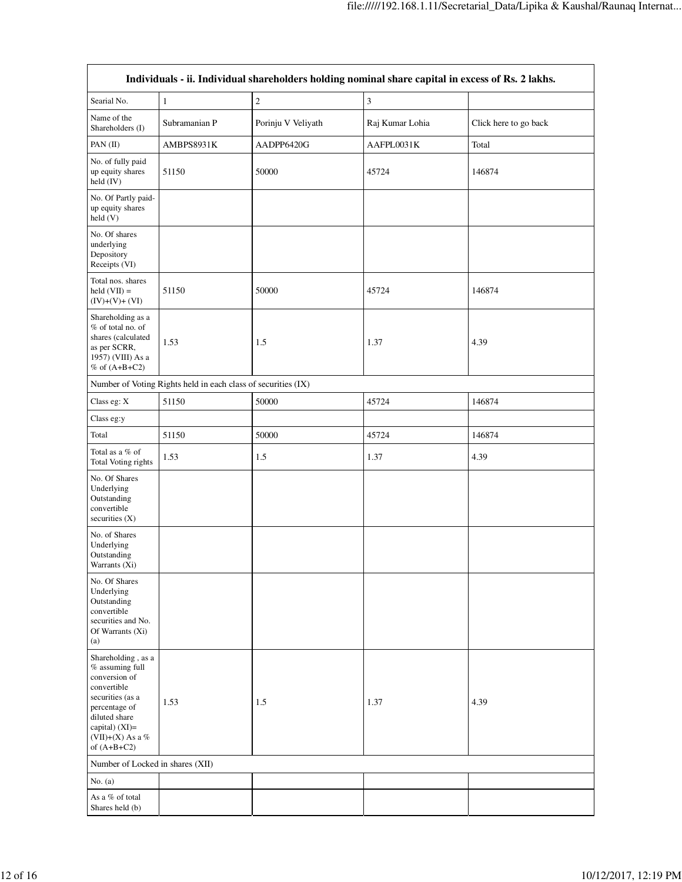| Individuals - ii. Individual shareholders holding nominal share capital in excess of Rs. 2 lakhs.                                                                                    |                                                               |                    |                 |                       |  |  |  |  |  |  |
|--------------------------------------------------------------------------------------------------------------------------------------------------------------------------------------|---------------------------------------------------------------|--------------------|-----------------|-----------------------|--|--|--|--|--|--|
| Searial No.                                                                                                                                                                          | $\mathbf{1}$                                                  | $\overline{c}$     | 3               |                       |  |  |  |  |  |  |
| Name of the<br>Shareholders (I)                                                                                                                                                      | Subramanian P                                                 | Porinju V Veliyath | Raj Kumar Lohia | Click here to go back |  |  |  |  |  |  |
| PAN(II)                                                                                                                                                                              | AMBPS8931K                                                    | AADPP6420G         | AAFPL0031K      | Total                 |  |  |  |  |  |  |
| No. of fully paid<br>up equity shares<br>held (IV)                                                                                                                                   | 51150                                                         | 50000              | 45724           | 146874                |  |  |  |  |  |  |
| No. Of Partly paid-<br>up equity shares<br>held (V)                                                                                                                                  |                                                               |                    |                 |                       |  |  |  |  |  |  |
| No. Of shares<br>underlying<br>Depository<br>Receipts (VI)                                                                                                                           |                                                               |                    |                 |                       |  |  |  |  |  |  |
| Total nos. shares<br>held $(VII) =$<br>$(IV)+(V)+(VI)$                                                                                                                               | 51150                                                         | 50000              | 45724           | 146874                |  |  |  |  |  |  |
| Shareholding as a<br>% of total no. of<br>shares (calculated<br>as per SCRR,<br>1957) (VIII) As a<br>$%$ of $(A+B+C2)$                                                               | 1.53                                                          | 1.5                | 1.37            | 4.39                  |  |  |  |  |  |  |
|                                                                                                                                                                                      | Number of Voting Rights held in each class of securities (IX) |                    |                 |                       |  |  |  |  |  |  |
| Class eg: X                                                                                                                                                                          | 51150                                                         | 50000              | 45724           | 146874                |  |  |  |  |  |  |
| Class eg:y                                                                                                                                                                           |                                                               |                    |                 |                       |  |  |  |  |  |  |
| Total                                                                                                                                                                                | 51150                                                         | 50000              | 45724           | 146874                |  |  |  |  |  |  |
| Total as a % of<br>Total Voting rights                                                                                                                                               | 1.53                                                          | 1.5                | 1.37            | 4.39                  |  |  |  |  |  |  |
| No. Of Shares<br>Underlying<br>Outstanding<br>convertible<br>securities (X)                                                                                                          |                                                               |                    |                 |                       |  |  |  |  |  |  |
| No. of Shares<br>Underlying<br>Outstanding<br>Warrants (Xi)                                                                                                                          |                                                               |                    |                 |                       |  |  |  |  |  |  |
| No. Of Shares<br>Underlying<br>Outstanding<br>convertible<br>securities and No.<br>Of Warrants (Xi)<br>(a)                                                                           |                                                               |                    |                 |                       |  |  |  |  |  |  |
| Shareholding, as a<br>% assuming full<br>conversion of<br>convertible<br>securities (as a<br>percentage of<br>diluted share<br>capital) (XI)=<br>$(VII)+(X)$ As a %<br>of $(A+B+C2)$ | 1.53                                                          | 1.5                | 1.37            | 4.39                  |  |  |  |  |  |  |
| Number of Locked in shares (XII)                                                                                                                                                     |                                                               |                    |                 |                       |  |  |  |  |  |  |
| No. $(a)$                                                                                                                                                                            |                                                               |                    |                 |                       |  |  |  |  |  |  |
| As a % of total<br>Shares held (b)                                                                                                                                                   |                                                               |                    |                 |                       |  |  |  |  |  |  |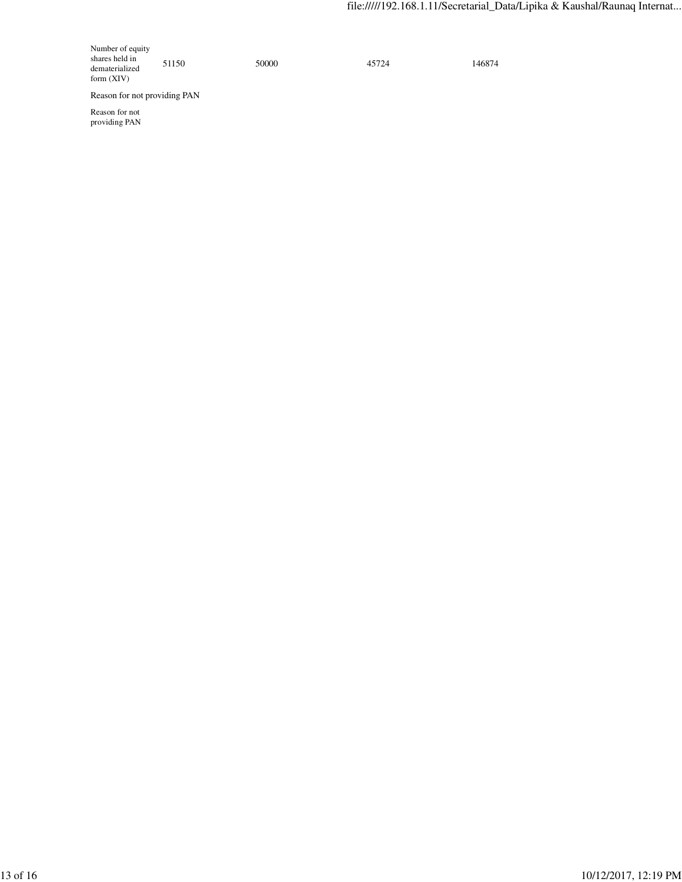Number of equity shares held in dematerialized form (XIV)

51150 50000 50000 45724 146874

Reason for not providing PAN

Reason for not providing PAN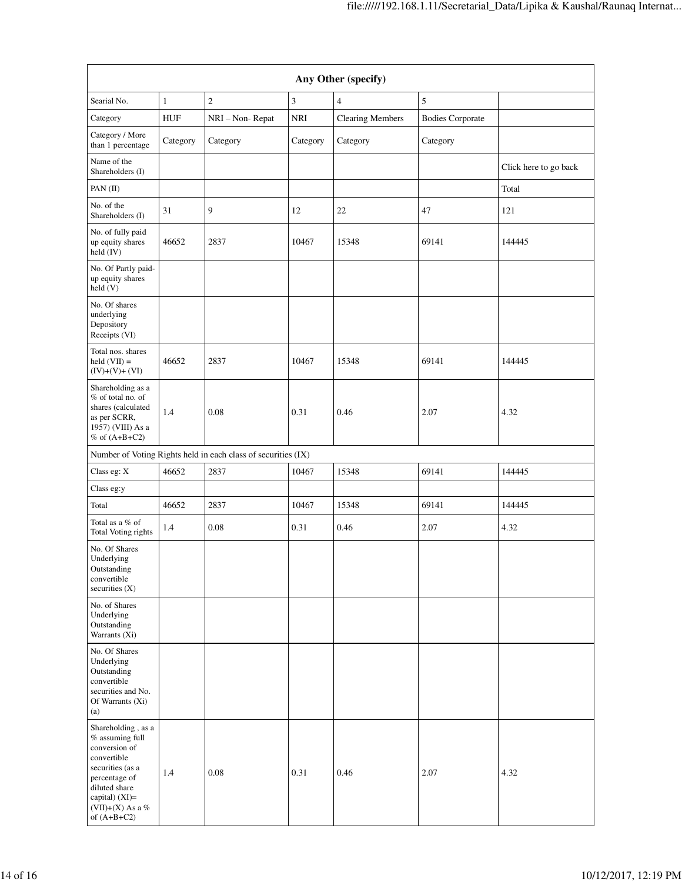| Any Other (specify)                                                                                                                                                                  |              |                                                               |               |                         |                         |                       |  |  |  |  |
|--------------------------------------------------------------------------------------------------------------------------------------------------------------------------------------|--------------|---------------------------------------------------------------|---------------|-------------------------|-------------------------|-----------------------|--|--|--|--|
| Searial No.                                                                                                                                                                          | $\mathbf{1}$ | $\sqrt{2}$                                                    | $\mathfrak z$ | $\overline{4}$          | 5                       |                       |  |  |  |  |
| Category                                                                                                                                                                             | <b>HUF</b>   | NRI - Non-Repat                                               | <b>NRI</b>    | <b>Clearing Members</b> | <b>Bodies Corporate</b> |                       |  |  |  |  |
| Category / More<br>than 1 percentage                                                                                                                                                 | Category     | Category                                                      | Category      | Category                | Category                |                       |  |  |  |  |
| Name of the<br>Shareholders (I)                                                                                                                                                      |              |                                                               |               |                         |                         | Click here to go back |  |  |  |  |
| PAN(II)                                                                                                                                                                              |              |                                                               |               |                         |                         | Total                 |  |  |  |  |
| No. of the<br>Shareholders (I)                                                                                                                                                       | 31           | 9                                                             | 12            | 22                      | 47                      | 121                   |  |  |  |  |
| No. of fully paid<br>up equity shares<br>held $(IV)$                                                                                                                                 | 46652        | 2837                                                          | 10467         | 15348                   | 69141                   | 144445                |  |  |  |  |
| No. Of Partly paid-<br>up equity shares<br>held(V)                                                                                                                                   |              |                                                               |               |                         |                         |                       |  |  |  |  |
| No. Of shares<br>underlying<br>Depository<br>Receipts (VI)                                                                                                                           |              |                                                               |               |                         |                         |                       |  |  |  |  |
| Total nos. shares<br>$\text{held}(\text{VII}) =$<br>$(IV)+(V)+(VI)$                                                                                                                  | 46652        | 2837                                                          | 10467         | 15348                   | 69141                   | 144445                |  |  |  |  |
| Shareholding as a<br>% of total no. of<br>shares (calculated<br>as per SCRR,<br>1957) (VIII) As a<br>% of $(A+B+C2)$                                                                 | 1.4          | 0.08                                                          | 0.31          | 0.46                    | 2.07                    | 4.32                  |  |  |  |  |
|                                                                                                                                                                                      |              | Number of Voting Rights held in each class of securities (IX) |               |                         |                         |                       |  |  |  |  |
| Class eg: X                                                                                                                                                                          | 46652        | 2837                                                          | 10467         | 15348                   | 69141                   | 144445                |  |  |  |  |
| Class eg:y                                                                                                                                                                           |              |                                                               |               |                         |                         |                       |  |  |  |  |
| Total                                                                                                                                                                                | 46652        | 2837                                                          | 10467         | 15348                   | 69141                   | 144445                |  |  |  |  |
| Total as a % of<br>Total Voting rights                                                                                                                                               | 1.4          | 0.08                                                          | 0.31          | 0.46                    | 2.07                    | 4.32                  |  |  |  |  |
| No. Of Shares<br>Underlying<br>Outstanding<br>convertible<br>securities (X)                                                                                                          |              |                                                               |               |                         |                         |                       |  |  |  |  |
| No. of Shares<br>Underlying<br>Outstanding<br>Warrants (Xi)                                                                                                                          |              |                                                               |               |                         |                         |                       |  |  |  |  |
| No. Of Shares<br>Underlying<br>Outstanding<br>convertible<br>securities and No.<br>Of Warrants (Xi)<br>(a)                                                                           |              |                                                               |               |                         |                         |                       |  |  |  |  |
| Shareholding, as a<br>% assuming full<br>conversion of<br>convertible<br>securities (as a<br>percentage of<br>diluted share<br>capital) $(XI)=$<br>(VII)+(X) As a %<br>of $(A+B+C2)$ | 1.4          | 0.08                                                          | 0.31          | 0.46                    | 2.07                    | 4.32                  |  |  |  |  |